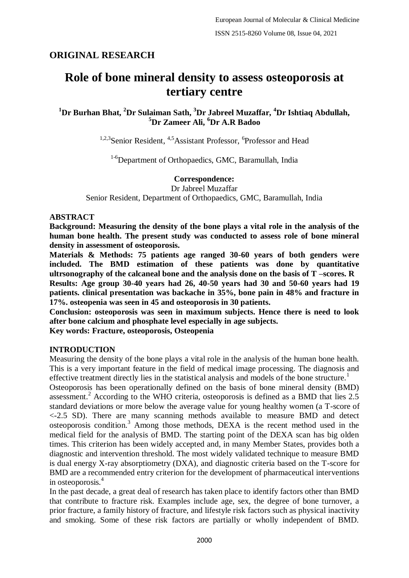# **ORIGINAL RESEARCH**

# **Role of bone mineral density to assess osteoporosis at tertiary centre**

**<sup>1</sup>Dr Burhan Bhat, <sup>2</sup>Dr Sulaiman Sath, <sup>3</sup>Dr Jabreel Muzaffar, <sup>4</sup>Dr Ishtiaq Abdullah, <sup>5</sup>Dr Zameer Ali, <sup>6</sup>Dr A.R Badoo**

<sup>1,2,3</sup>Senior Resident, <sup>4,5</sup>Assistant Professor, <sup>6</sup>Professor and Head

<sup>1-6</sup>Department of Orthopaedics, GMC, Baramullah, India

## **Correspondence:**

Dr Jabreel Muzaffar

Senior Resident, Department of Orthopaedics, GMC, Baramullah, India

#### **ABSTRACT**

**Background: Measuring the density of the bone plays a vital role in the analysis of the human bone health. The present study was conducted to assess role of bone mineral density in assessment of osteoporosis.**

**Materials & Methods: 75 patients age ranged 30-60 years of both genders were included. The BMD estimation of these patients was done by quantitative ultrsonography of the calcaneal bone and the analysis done on the basis of T –scores. R Results: Age group 30-40 years had 26, 40-50 years had 30 and 50-60 years had 19 patients. clinical presentation was backache in 35%, bone pain in 48% and fracture in 17%. osteopenia was seen in 45 and osteoporosis in 30 patients.** 

**Conclusion: osteoporosis was seen in maximum subjects. Hence there is need to look after bone calcium and phosphate level especially in age subjects.**

**Key words: Fracture, osteoporosis, Osteopenia**

#### **INTRODUCTION**

Measuring the density of the bone plays a vital role in the analysis of the human bone health. This is a very important feature in the field of medical image processing. The diagnosis and effective treatment directly lies in the statistical analysis and models of the bone structure.<sup>1</sup>

Osteoporosis has been operationally defined on the basis of bone mineral density (BMD) assessment.<sup>2</sup> According to the WHO criteria, osteoporosis is defined as a BMD that lies 2.5 standard deviations or more below the average value for young healthy women (a T-score of <-2.5 SD). There are many scanning methods available to measure BMD and detect osteoporosis condition.<sup>3</sup> Among those methods, DEXA is the recent method used in the medical field for the analysis of BMD. The starting point of the DEXA scan has big olden times. This criterion has been widely accepted and, in many Member States, provides both a diagnostic and intervention threshold. The most widely validated technique to measure BMD is dual energy X-ray absorptiometry (DXA), and diagnostic criteria based on the T-score for BMD are a recommended entry criterion for the development of pharmaceutical interventions in osteoporosis.<sup>4</sup>

In the past decade, a great deal of research has taken place to identify factors other than BMD that contribute to fracture risk. Examples include age, sex, the degree of bone turnover, a prior fracture, a family history of fracture, and lifestyle risk factors such as physical inactivity and smoking. Some of these risk factors are partially or wholly independent of BMD.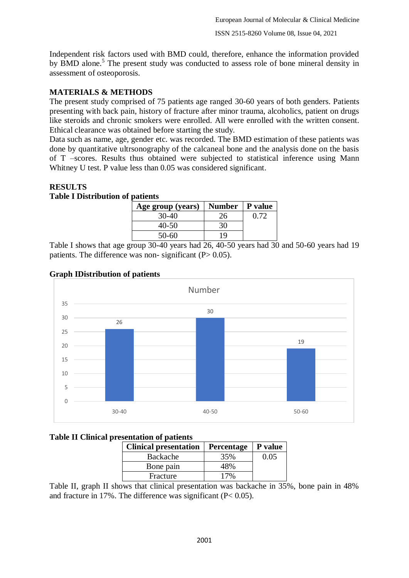Independent risk factors used with BMD could, therefore, enhance the information provided by BMD alone.<sup>5</sup> The present study was conducted to assess role of bone mineral density in assessment of osteoporosis.

## **MATERIALS & METHODS**

The present study comprised of 75 patients age ranged 30-60 years of both genders. Patients presenting with back pain, history of fracture after minor trauma, alcoholics, patient on drugs like steroids and chronic smokers were enrolled. All were enrolled with the written consent. Ethical clearance was obtained before starting the study.

Data such as name, age, gender etc. was recorded. The BMD estimation of these patients was done by quantitative ultrsonography of the calcaneal bone and the analysis done on the basis of T –scores. Results thus obtained were subjected to statistical inference using Mann Whitney U test. P value less than 0.05 was considered significant.

## **RESULTS**

### **Table I Distribution of patients**

| Age group (years) | Number   P value |      |
|-------------------|------------------|------|
| 30-40             | 26               | 0.72 |
| 40-50             | 30               |      |
| 50-60             | Q                |      |

Table I shows that age group 30-40 years had 26, 40-50 years had 30 and 50-60 years had 19 patients. The difference was non- significant  $(P > 0.05)$ .



## **Graph IDistribution of patients**

## **Table II Clinical presentation of patients**

| <b>Clinical presentation</b> | Percentage | P value |
|------------------------------|------------|---------|
| Backache                     | 35%        | 0.05    |
| Bone pain                    | 48%        |         |
| Fracture                     | 17%        |         |

Table II, graph II shows that clinical presentation was backache in 35%, bone pain in 48% and fracture in 17%. The difference was significant (P< 0.05).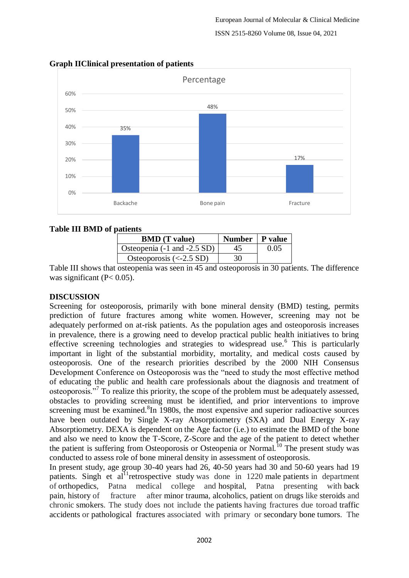

#### **Graph IIClinical presentation of patients**

### **Table III BMD of patients**

| .                                                   |                  |      |  |  |
|-----------------------------------------------------|------------------|------|--|--|
| <b>BMD</b> (T value)                                | Number   P value |      |  |  |
| Osteopenia (-1 and -2.5 SD)                         | 45               | 0.05 |  |  |
| Osteoporosis $\left(\langle -2.5 \text{ SD}\right)$ | 30               |      |  |  |

Table III shows that osteopenia was seen in 45 and osteoporosis in 30 patients. The difference was significant  $(P< 0.05)$ .

## **DISCUSSION**

Screening for osteoporosis, primarily with bone mineral density (BMD) testing, permits prediction of future fractures among white women. However, screening may not be adequately performed on at-risk patients. As the population ages and osteoporosis increases in prevalence, there is a growing need to develop practical public health initiatives to bring effective screening technologies and strategies to widespread use.<sup>6</sup> This is particularly important in light of the substantial morbidity, mortality, and medical costs caused by osteoporosis. One of the research priorities described by the 2000 NIH Consensus Development Conference on Osteoporosis was the "need to study the most effective method of educating the public and health care professionals about the diagnosis and treatment of osteoporosis."<sup>7</sup> To realize this priority, the scope of the problem must be adequately assessed, obstacles to providing screening must be identified, and prior interventions to improve screening must be examined.<sup>8</sup>In 1980s, the most expensive and superior radioactive sources have been outdated by Single X-ray Absorptiometry (SXA) and Dual Energy X-ray Absorptiometry. DEXA is dependent on the Age factor (i.e.) to estimate the BMD of the bone and also we need to know the T-Score, Z-Score and the age of the patient to detect whether the patient is suffering from Osteoporosis or Osteopenia or Normal.<sup>10</sup> The present study was conducted to assess role of bone mineral density in assessment of osteoporosis.

In present study, age group 30-40 years had 26, 40-50 years had 30 and 50-60 years had 19 patients. Singh et al<sup>11</sup>retrospective study was done in 1220 male patients in department of orthopedics, Patna medical college and hospital, Patna presenting with back pain, history of fracture after minor trauma, alcoholics, patient on drugs like steroids and chronic smokers. The study does not include the patients having fractures due toroad traffic accidents or pathological fractures associated with primary or secondary bone tumors. The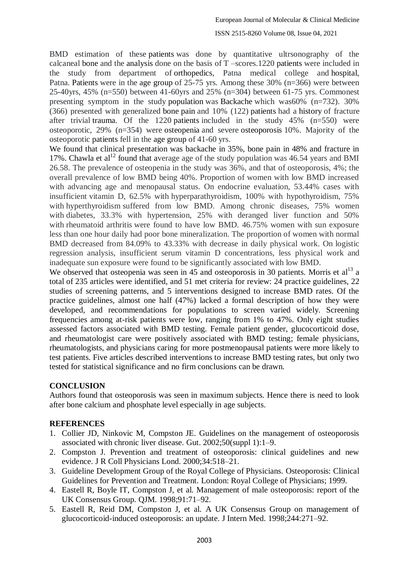#### ISSN 2515-8260 Volume 08, Issue 04, 2021

BMD estimation of these patients was done by quantitative ultrsonography of the calcaneal bone and the analysis done on the basis of T –scores.1220 patients were included in the study from department of orthopedics, Patna medical college and hospital, Patna. Patients were in the age group of 25-75 yrs. Among these 30% (n=366) were between 25-40yrs, 45% (n=550) between 41-60yrs and 25% (n=304) between 61-75 yrs. Commonest presenting symptom in the study population was Backache which was60% (n=732). 30% (366) presented with generalized bone pain and 10% (122) patients had a history of fracture after trivial trauma. Of the 1220 patients included in the study  $45\%$  (n=550) were osteoporotic, 29% (n=354) were osteopenia and severe osteoporosis 10%. Majority of the osteoporotic patients fell in the age group of 41-60 yrs.

We found that clinical presentation was backache in 35%, bone pain in 48% and fracture in 17%. Chawla et  $al<sup>12</sup>$  found that average age of the study population was 46.54 years and BMI 26.58. The prevalence of [osteopenia](https://www.sciencedirect.com/topics/medicine-and-dentistry/osteopenia) in the study was 36%, and that of osteoporosis, 4%; the overall prevalence of low BMD being 40%. Proportion of women with low BMD increased with advancing age and menopausal status. On endocrine evaluation, 53.44% cases with insufficient [vitamin D,](https://www.sciencedirect.com/topics/medicine-and-dentistry/vitamin-d) 62.5% with [hyperparathyroidism,](https://www.sciencedirect.com/topics/medicine-and-dentistry/hyperparathyroidism) 100% with hypothyroidism, 75% with [hyperthyroidism](https://www.sciencedirect.com/topics/medicine-and-dentistry/hyperthyroidism) suffered from low BMD. Among chronic diseases, 75% women with [diabetes,](https://www.sciencedirect.com/topics/medicine-and-dentistry/diabetes-mellitus) 33.3% with hypertension, 25% with deranged liver function and 50% with [rheumatoid arthritis](https://www.sciencedirect.com/topics/medicine-and-dentistry/rheumatoid-arthritis) were found to have low BMD. 46.75% women with sun exposure less than one hour daily had poor [bone mineralization.](https://www.sciencedirect.com/topics/medicine-and-dentistry/bone-mineralization) The proportion of women with normal BMD decreased from 84.09% to 43.33% with decrease in daily physical work. On [logistic](https://www.sciencedirect.com/topics/medicine-and-dentistry/logistic-regression-analysis)  [regression analysis,](https://www.sciencedirect.com/topics/medicine-and-dentistry/logistic-regression-analysis) insufficient serum vitamin D concentrations, less physical work and inadequate sun exposure were found to be significantly associated with low BMD.

We observed that osteopenia was seen in  $45$  and osteoporosis in 30 patients. Morris et al<sup>13</sup> a total of 235 articles were identified, and 51 met criteria for review: 24 practice guidelines, 22 studies of screening patterns, and 5 interventions designed to increase BMD rates. Of the practice guidelines, almost one half (47%) lacked a formal description of how they were developed, and recommendations for populations to screen varied widely. Screening frequencies among at-risk patients were low, ranging from 1% to 47%. Only eight studies assessed factors associated with BMD testing. Female patient gender, glucocorticoid dose, and rheumatologist care were positively associated with BMD testing; female physicians, rheumatologists, and physicians caring for more postmenopausal patients were more likely to test patients. Five articles described interventions to increase BMD testing rates, but only two tested for statistical significance and no firm conclusions can be drawn.

## **CONCLUSION**

Authors found that osteoporosis was seen in maximum subjects. Hence there is need to look after bone calcium and phosphate level especially in age subjects.

#### **REFERENCES**

- 1. Collier JD, Ninkovic M, Compston JE. Guidelines on the management of osteoporosis associated with chronic liver disease. Gut. 2002;50(suppl 1):1–9.
- 2. Compston J. Prevention and treatment of osteoporosis: clinical guidelines and new evidence. J R Coll Physicians Lond. 2000;34:518–21.
- 3. Guideline Development Group of the Royal College of Physicians. Osteoporosis: Clinical Guidelines for Prevention and Treatment. London: Royal College of Physicians; 1999.
- 4. Eastell R, Boyle IT, Compston J, et al. Management of male osteoporosis: report of the UK Consensus Group. QJM. 1998;91:71–92.
- 5. Eastell R, Reid DM, Compston J, et al. A UK Consensus Group on management of glucocorticoid-induced osteoporosis: an update. J Intern Med. 1998;244:271–92.